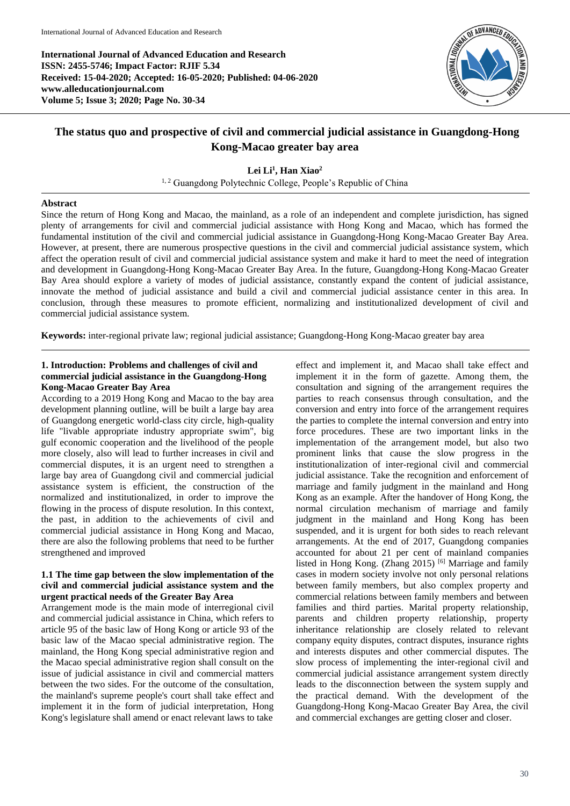**International Journal of Advanced Education and Research ISSN: 2455-5746; Impact Factor: RJIF 5.34 Received: 15-04-2020; Accepted: 16-05-2020; Published: 04-06-2020 www.alleducationjournal.com Volume 5; Issue 3; 2020; Page No. 30-34**



# **The status quo and prospective of civil and commercial judicial assistance in Guangdong-Hong Kong-Macao greater bay area**

**Lei Li<sup>1</sup> , Han Xiao<sup>2</sup>**

<sup>1, 2</sup> Guangdong Polytechnic College, People's Republic of China

#### **Abstract**

Since the return of Hong Kong and Macao, the mainland, as a role of an independent and complete jurisdiction, has signed plenty of arrangements for civil and commercial judicial assistance with Hong Kong and Macao, which has formed the fundamental institution of the civil and commercial judicial assistance in Guangdong-Hong Kong-Macao Greater Bay Area. However, at present, there are numerous prospective questions in the civil and commercial judicial assistance system, which affect the operation result of civil and commercial judicial assistance system and make it hard to meet the need of integration and development in Guangdong-Hong Kong-Macao Greater Bay Area. In the future, Guangdong-Hong Kong-Macao Greater Bay Area should explore a variety of modes of judicial assistance, constantly expand the content of judicial assistance, innovate the method of judicial assistance and build a civil and commercial judicial assistance center in this area. In conclusion, through these measures to promote efficient, normalizing and institutionalized development of civil and commercial judicial assistance system.

**Keywords:** inter-regional private law; regional judicial assistance; Guangdong-Hong Kong-Macao greater bay area

# **1. Introduction: Problems and challenges of civil and commercial judicial assistance in the Guangdong-Hong Kong-Macao Greater Bay Area**

According to a 2019 Hong Kong and Macao to the bay area development planning outline, will be built a large bay area of Guangdong energetic world-class city circle, high-quality life "livable appropriate industry appropriate swim", big gulf economic cooperation and the livelihood of the people more closely, also will lead to further increases in civil and commercial disputes, it is an urgent need to strengthen a large bay area of Guangdong civil and commercial judicial assistance system is efficient, the construction of the normalized and institutionalized, in order to improve the flowing in the process of dispute resolution. In this context, the past, in addition to the achievements of civil and commercial judicial assistance in Hong Kong and Macao, there are also the following problems that need to be further strengthened and improved

## **1.1 The time gap between the slow implementation of the civil and commercial judicial assistance system and the urgent practical needs of the Greater Bay Area**

Arrangement mode is the main mode of interregional civil and commercial judicial assistance in China, which refers to article 95 of the basic law of Hong Kong or article 93 of the basic law of the Macao special administrative region. The mainland, the Hong Kong special administrative region and the Macao special administrative region shall consult on the issue of judicial assistance in civil and commercial matters between the two sides. For the outcome of the consultation, the mainland's supreme people's court shall take effect and implement it in the form of judicial interpretation, Hong Kong's legislature shall amend or enact relevant laws to take

effect and implement it, and Macao shall take effect and implement it in the form of gazette. Among them, the consultation and signing of the arrangement requires the parties to reach consensus through consultation, and the conversion and entry into force of the arrangement requires the parties to complete the internal conversion and entry into force procedures. These are two important links in the implementation of the arrangement model, but also two prominent links that cause the slow progress in the institutionalization of inter-regional civil and commercial judicial assistance. Take the recognition and enforcement of marriage and family judgment in the mainland and Hong Kong as an example. After the handover of Hong Kong, the normal circulation mechanism of marriage and family judgment in the mainland and Hong Kong has been suspended, and it is urgent for both sides to reach relevant arrangements. At the end of 2017, Guangdong companies accounted for about 21 per cent of mainland companies listed in Hong Kong. (Zhang 2015)  $[6]$  Marriage and family cases in modern society involve not only personal relations between family members, but also complex property and commercial relations between family members and between families and third parties. Marital property relationship, parents and children property relationship, property inheritance relationship are closely related to relevant company equity disputes, contract disputes, insurance rights and interests disputes and other commercial disputes. The slow process of implementing the inter-regional civil and commercial judicial assistance arrangement system directly leads to the disconnection between the system supply and the practical demand. With the development of the Guangdong-Hong Kong-Macao Greater Bay Area, the civil and commercial exchanges are getting closer and closer.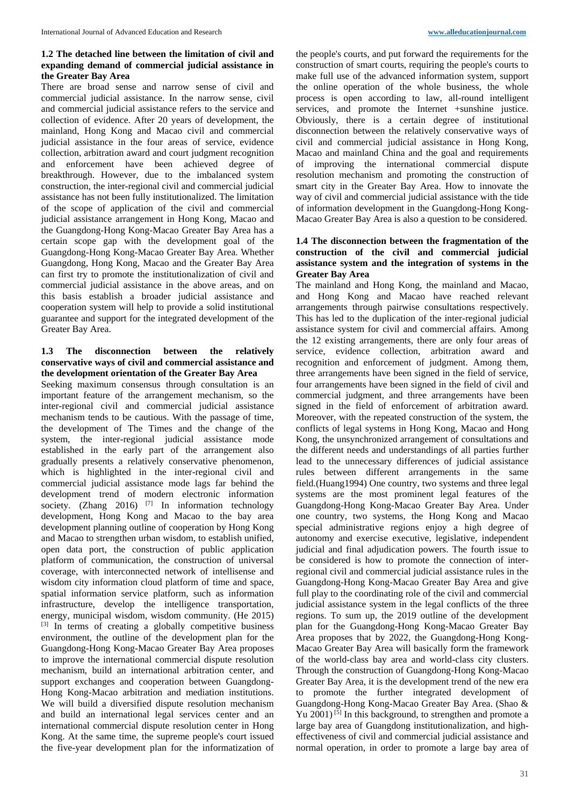# **1.2 The detached line between the limitation of civil and expanding demand of commercial judicial assistance in the Greater Bay Area**

There are broad sense and narrow sense of civil and commercial judicial assistance. In the narrow sense, civil and commercial judicial assistance refers to the service and collection of evidence. After 20 years of development, the mainland, Hong Kong and Macao civil and commercial judicial assistance in the four areas of service, evidence collection, arbitration award and court judgment recognition and enforcement have been achieved degree of breakthrough. However, due to the imbalanced system construction, the inter-regional civil and commercial judicial assistance has not been fully institutionalized. The limitation of the scope of application of the civil and commercial judicial assistance arrangement in Hong Kong, Macao and the Guangdong-Hong Kong-Macao Greater Bay Area has a certain scope gap with the development goal of the Guangdong-Hong Kong-Macao Greater Bay Area. Whether Guangdong, Hong Kong, Macao and the Greater Bay Area can first try to promote the institutionalization of civil and commercial judicial assistance in the above areas, and on this basis establish a broader judicial assistance and cooperation system will help to provide a solid institutional guarantee and support for the integrated development of the Greater Bay Area.

## **1.3 The disconnection between the relatively conservative ways of civil and commercial assistance and the development orientation of the Greater Bay Area**

Seeking maximum consensus through consultation is an important feature of the arrangement mechanism, so the inter-regional civil and commercial judicial assistance mechanism tends to be cautious. With the passage of time, the development of The Times and the change of the system, the inter-regional judicial assistance mode established in the early part of the arrangement also gradually presents a relatively conservative phenomenon, which is highlighted in the inter-regional civil and commercial judicial assistance mode lags far behind the development trend of modern electronic information society. (Zhang 2016) <sup>[7]</sup> In information technology development, Hong Kong and Macao to the bay area development planning outline of cooperation by Hong Kong and Macao to strengthen urban wisdom, to establish unified, open data port, the construction of public application platform of communication, the construction of universal coverage, with interconnected network of intellisense and wisdom city information cloud platform of time and space, spatial information service platform, such as information infrastructure, develop the intelligence transportation, energy, municipal wisdom, wisdom community. (He 2015) [3] In terms of creating a globally competitive business environment, the outline of the development plan for the Guangdong-Hong Kong-Macao Greater Bay Area proposes to improve the international commercial dispute resolution mechanism, build an international arbitration center, and support exchanges and cooperation between Guangdong-Hong Kong-Macao arbitration and mediation institutions. We will build a diversified dispute resolution mechanism and build an international legal services center and an international commercial dispute resolution center in Hong Kong. At the same time, the supreme people's court issued the five-year development plan for the informatization of

the people's courts, and put forward the requirements for the construction of smart courts, requiring the people's courts to make full use of the advanced information system, support the online operation of the whole business, the whole process is open according to law, all-round intelligent services, and promote the Internet +sunshine justice. Obviously, there is a certain degree of institutional disconnection between the relatively conservative ways of civil and commercial judicial assistance in Hong Kong, Macao and mainland China and the goal and requirements of improving the international commercial dispute resolution mechanism and promoting the construction of smart city in the Greater Bay Area. How to innovate the way of civil and commercial judicial assistance with the tide of information development in the Guangdong-Hong Kong-Macao Greater Bay Area is also a question to be considered.

## **1.4 The disconnection between the fragmentation of the construction of the civil and commercial judicial assistance system and the integration of systems in the Greater Bay Area**

The mainland and Hong Kong, the mainland and Macao, and Hong Kong and Macao have reached relevant arrangements through pairwise consultations respectively. This has led to the duplication of the inter-regional judicial assistance system for civil and commercial affairs. Among the 12 existing arrangements, there are only four areas of service, evidence collection, arbitration award and recognition and enforcement of judgment. Among them, three arrangements have been signed in the field of service, four arrangements have been signed in the field of civil and commercial judgment, and three arrangements have been signed in the field of enforcement of arbitration award. Moreover, with the repeated construction of the system, the conflicts of legal systems in Hong Kong, Macao and Hong Kong, the unsynchronized arrangement of consultations and the different needs and understandings of all parties further lead to the unnecessary differences of judicial assistance rules between different arrangements in the same field.(Huang1994) One country, two systems and three legal systems are the most prominent legal features of the Guangdong-Hong Kong-Macao Greater Bay Area. Under one country, two systems, the Hong Kong and Macao special administrative regions enjoy a high degree of autonomy and exercise executive, legislative, independent judicial and final adjudication powers. The fourth issue to be considered is how to promote the connection of interregional civil and commercial judicial assistance rules in the Guangdong-Hong Kong-Macao Greater Bay Area and give full play to the coordinating role of the civil and commercial judicial assistance system in the legal conflicts of the three regions. To sum up, the 2019 outline of the development plan for the Guangdong-Hong Kong-Macao Greater Bay Area proposes that by 2022, the Guangdong-Hong Kong-Macao Greater Bay Area will basically form the framework of the world-class bay area and world-class city clusters. Through the construction of Guangdong-Hong Kong-Macao Greater Bay Area, it is the development trend of the new era to promote the further integrated development of Guangdong-Hong Kong-Macao Greater Bay Area. (Shao & Yu 2001) <sup>[5]</sup> In this background, to strengthen and promote a large bay area of Guangdong institutionalization, and higheffectiveness of civil and commercial judicial assistance and normal operation, in order to promote a large bay area of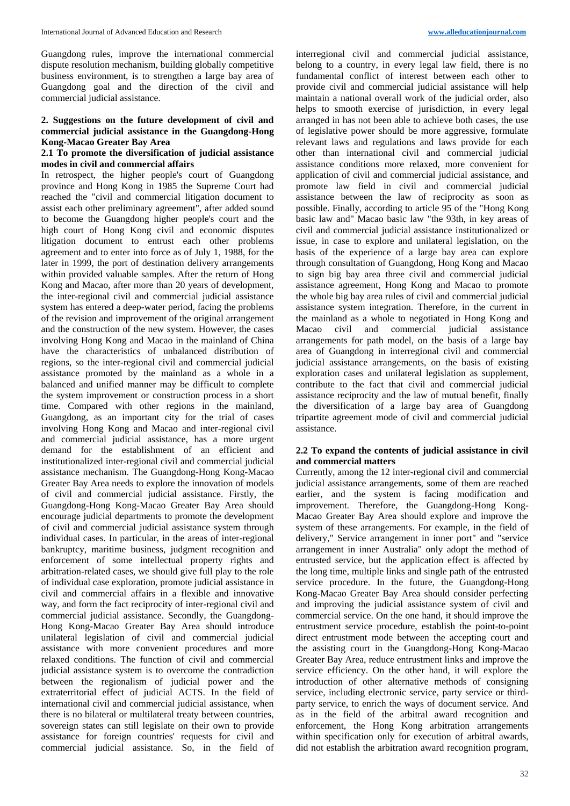Guangdong rules, improve the international commercial dispute resolution mechanism, building globally competitive business environment, is to strengthen a large bay area of Guangdong goal and the direction of the civil and commercial judicial assistance.

#### **2. Suggestions on the future development of civil and commercial judicial assistance in the Guangdong-Hong Kong-Macao Greater Bay Area**

#### **2.1 To promote the diversification of judicial assistance modes in civil and commercial affairs**

In retrospect, the higher people's court of Guangdong province and Hong Kong in 1985 the Supreme Court had reached the "civil and commercial litigation document to assist each other preliminary agreement", after added sound to become the Guangdong higher people's court and the high court of Hong Kong civil and economic disputes litigation document to entrust each other problems agreement and to enter into force as of July 1, 1988, for the later in 1999, the port of destination delivery arrangements within provided valuable samples. After the return of Hong Kong and Macao, after more than 20 years of development, the inter-regional civil and commercial judicial assistance system has entered a deep-water period, facing the problems of the revision and improvement of the original arrangement and the construction of the new system. However, the cases involving Hong Kong and Macao in the mainland of China have the characteristics of unbalanced distribution of regions, so the inter-regional civil and commercial judicial assistance promoted by the mainland as a whole in a balanced and unified manner may be difficult to complete the system improvement or construction process in a short time. Compared with other regions in the mainland, Guangdong, as an important city for the trial of cases involving Hong Kong and Macao and inter-regional civil and commercial judicial assistance, has a more urgent demand for the establishment of an efficient and institutionalized inter-regional civil and commercial judicial assistance mechanism. The Guangdong-Hong Kong-Macao Greater Bay Area needs to explore the innovation of models of civil and commercial judicial assistance. Firstly, the Guangdong-Hong Kong-Macao Greater Bay Area should encourage judicial departments to promote the development of civil and commercial judicial assistance system through individual cases. In particular, in the areas of inter-regional bankruptcy, maritime business, judgment recognition and enforcement of some intellectual property rights and arbitration-related cases, we should give full play to the role of individual case exploration, promote judicial assistance in civil and commercial affairs in a flexible and innovative way, and form the fact reciprocity of inter-regional civil and commercial judicial assistance. Secondly, the Guangdong-Hong Kong-Macao Greater Bay Area should introduce unilateral legislation of civil and commercial judicial assistance with more convenient procedures and more relaxed conditions. The function of civil and commercial judicial assistance system is to overcome the contradiction between the regionalism of judicial power and the extraterritorial effect of judicial ACTS. In the field of international civil and commercial judicial assistance, when there is no bilateral or multilateral treaty between countries, sovereign states can still legislate on their own to provide assistance for foreign countries' requests for civil and commercial judicial assistance. So, in the field of

interregional civil and commercial judicial assistance, belong to a country, in every legal law field, there is no fundamental conflict of interest between each other to provide civil and commercial judicial assistance will help maintain a national overall work of the judicial order, also helps to smooth exercise of jurisdiction, in every legal arranged in has not been able to achieve both cases, the use of legislative power should be more aggressive, formulate relevant laws and regulations and laws provide for each other than international civil and commercial judicial assistance conditions more relaxed, more convenient for application of civil and commercial judicial assistance, and promote law field in civil and commercial judicial assistance between the law of reciprocity as soon as possible. Finally, according to article 95 of the "Hong Kong basic law and" Macao basic law "the 93th, in key areas of civil and commercial judicial assistance institutionalized or issue, in case to explore and unilateral legislation, on the basis of the experience of a large bay area can explore through consultation of Guangdong, Hong Kong and Macao to sign big bay area three civil and commercial judicial assistance agreement, Hong Kong and Macao to promote the whole big bay area rules of civil and commercial judicial assistance system integration. Therefore, in the current in the mainland as a whole to negotiated in Hong Kong and Macao civil and commercial judicial assistance arrangements for path model, on the basis of a large bay area of Guangdong in interregional civil and commercial judicial assistance arrangements, on the basis of existing exploration cases and unilateral legislation as supplement, contribute to the fact that civil and commercial judicial assistance reciprocity and the law of mutual benefit, finally the diversification of a large bay area of Guangdong tripartite agreement mode of civil and commercial judicial assistance.

#### **2.2 To expand the contents of judicial assistance in civil and commercial matters**

Currently, among the 12 inter-regional civil and commercial judicial assistance arrangements, some of them are reached earlier, and the system is facing modification and improvement. Therefore, the Guangdong-Hong Kong-Macao Greater Bay Area should explore and improve the system of these arrangements. For example, in the field of delivery," Service arrangement in inner port" and "service arrangement in inner Australia" only adopt the method of entrusted service, but the application effect is affected by the long time, multiple links and single path of the entrusted service procedure. In the future, the Guangdong-Hong Kong-Macao Greater Bay Area should consider perfecting and improving the judicial assistance system of civil and commercial service. On the one hand, it should improve the entrustment service procedure, establish the point-to-point direct entrustment mode between the accepting court and the assisting court in the Guangdong-Hong Kong-Macao Greater Bay Area, reduce entrustment links and improve the service efficiency. On the other hand, it will explore the introduction of other alternative methods of consigning service, including electronic service, party service or thirdparty service, to enrich the ways of document service. And as in the field of the arbitral award recognition and enforcement, the Hong Kong arbitration arrangements within specification only for execution of arbitral awards, did not establish the arbitration award recognition program,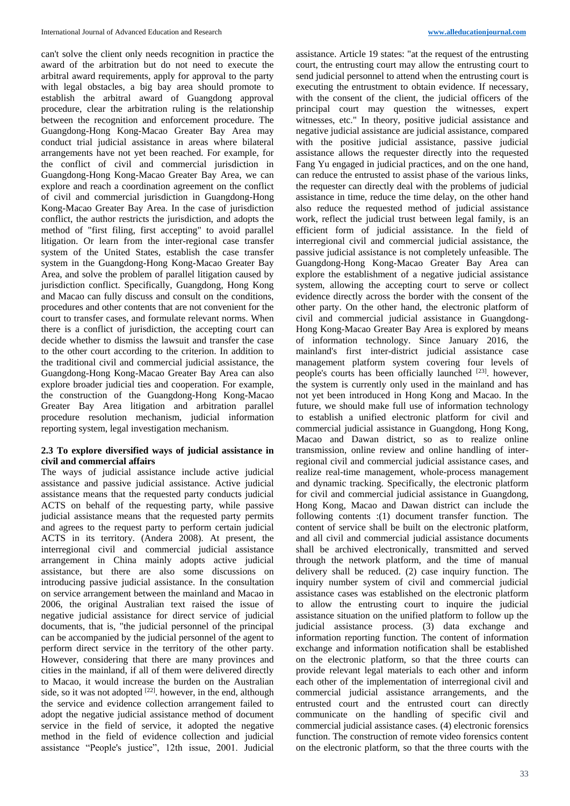can't solve the client only needs recognition in practice the award of the arbitration but do not need to execute the arbitral award requirements, apply for approval to the party with legal obstacles, a big bay area should promote to establish the arbitral award of Guangdong approval procedure, clear the arbitration ruling is the relationship between the recognition and enforcement procedure. The Guangdong-Hong Kong-Macao Greater Bay Area may conduct trial judicial assistance in areas where bilateral arrangements have not yet been reached. For example, for the conflict of civil and commercial jurisdiction in Guangdong-Hong Kong-Macao Greater Bay Area, we can explore and reach a coordination agreement on the conflict of civil and commercial jurisdiction in Guangdong-Hong Kong-Macao Greater Bay Area. In the case of jurisdiction conflict, the author restricts the jurisdiction, and adopts the method of "first filing, first accepting" to avoid parallel litigation. Or learn from the inter-regional case transfer system of the United States, establish the case transfer system in the Guangdong-Hong Kong-Macao Greater Bay Area, and solve the problem of parallel litigation caused by jurisdiction conflict. Specifically, Guangdong, Hong Kong and Macao can fully discuss and consult on the conditions, procedures and other contents that are not convenient for the court to transfer cases, and formulate relevant norms. When there is a conflict of jurisdiction, the accepting court can decide whether to dismiss the lawsuit and transfer the case to the other court according to the criterion. In addition to the traditional civil and commercial judicial assistance, the Guangdong-Hong Kong-Macao Greater Bay Area can also explore broader judicial ties and cooperation. For example, the construction of the Guangdong-Hong Kong-Macao Greater Bay Area litigation and arbitration parallel procedure resolution mechanism, judicial information reporting system, legal investigation mechanism.

#### **2.3 To explore diversified ways of judicial assistance in civil and commercial affairs**

The ways of judicial assistance include active judicial assistance and passive judicial assistance. Active judicial assistance means that the requested party conducts judicial ACTS on behalf of the requesting party, while passive judicial assistance means that the requested party permits and agrees to the request party to perform certain judicial ACTS in its territory. (Andera 2008). At present, the interregional civil and commercial judicial assistance arrangement in China mainly adopts active judicial assistance, but there are also some discussions on introducing passive judicial assistance. In the consultation on service arrangement between the mainland and Macao in 2006, the original Australian text raised the issue of negative judicial assistance for direct service of judicial documents, that is, "the judicial personnel of the principal can be accompanied by the judicial personnel of the agent to perform direct service in the territory of the other party. However, considering that there are many provinces and cities in the mainland, if all of them were delivered directly to Macao, it would increase the burden on the Australian side, so it was not adopted  $[22]$ . however, in the end, although the service and evidence collection arrangement failed to adopt the negative judicial assistance method of document service in the field of service, it adopted the negative method in the field of evidence collection and judicial assistance "People's justice", 12th issue, 2001. Judicial

assistance. Article 19 states: "at the request of the entrusting court, the entrusting court may allow the entrusting court to send judicial personnel to attend when the entrusting court is executing the entrustment to obtain evidence. If necessary, with the consent of the client, the judicial officers of the principal court may question the witnesses, expert witnesses, etc." In theory, positive judicial assistance and negative judicial assistance are judicial assistance, compared with the positive judicial assistance, passive judicial assistance allows the requester directly into the requested Fang Yu engaged in judicial practices, and on the one hand, can reduce the entrusted to assist phase of the various links, the requester can directly deal with the problems of judicial assistance in time, reduce the time delay, on the other hand also reduce the requested method of judicial assistance work, reflect the judicial trust between legal family, is an efficient form of judicial assistance. In the field of interregional civil and commercial judicial assistance, the passive judicial assistance is not completely unfeasible. The Guangdong-Hong Kong-Macao Greater Bay Area can explore the establishment of a negative judicial assistance system, allowing the accepting court to serve or collect evidence directly across the border with the consent of the other party. On the other hand, the electronic platform of civil and commercial judicial assistance in Guangdong-Hong Kong-Macao Greater Bay Area is explored by means of information technology. Since January 2016, the mainland's first inter-district judicial assistance case management platform system covering four levels of people's courts has been officially launched [23]. however, the system is currently only used in the mainland and has not yet been introduced in Hong Kong and Macao. In the future, we should make full use of information technology to establish a unified electronic platform for civil and commercial judicial assistance in Guangdong, Hong Kong, Macao and Dawan district, so as to realize online transmission, online review and online handling of interregional civil and commercial judicial assistance cases, and realize real-time management, whole-process management and dynamic tracking. Specifically, the electronic platform for civil and commercial judicial assistance in Guangdong, Hong Kong, Macao and Dawan district can include the following contents :(1) document transfer function. The content of service shall be built on the electronic platform, and all civil and commercial judicial assistance documents shall be archived electronically, transmitted and served through the network platform, and the time of manual delivery shall be reduced. (2) case inquiry function. The inquiry number system of civil and commercial judicial assistance cases was established on the electronic platform to allow the entrusting court to inquire the judicial assistance situation on the unified platform to follow up the judicial assistance process. (3) data exchange and information reporting function. The content of information exchange and information notification shall be established on the electronic platform, so that the three courts can provide relevant legal materials to each other and inform each other of the implementation of interregional civil and commercial judicial assistance arrangements, and the entrusted court and the entrusted court can directly communicate on the handling of specific civil and commercial judicial assistance cases. (4) electronic forensics function. The construction of remote video forensics content on the electronic platform, so that the three courts with the